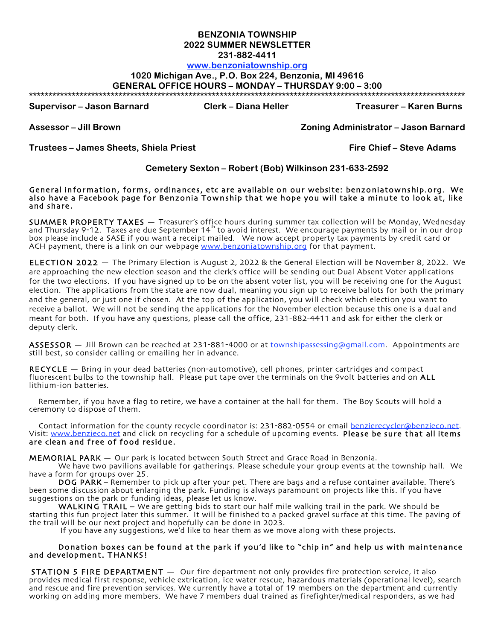# **BENZONIA TOWNSHIP 2022 SUMMER NEWSLETTER**

**231-882-4411**

## **www.benzoniatownship.org**

### **1020 Michigan Ave., P.O. Box 224, Benzonia, MI 49616**

**GENERAL OFFICE HOURS – MONDAY – THURSDAY 9:00 – 3:00**

**\*\*\*\*\*\*\*\*\*\*\*\*\*\*\*\*\*\*\*\*\*\*\*\*\*\*\*\*\*\*\*\*\*\*\*\*\*\*\*\*\*\*\*\*\*\*\*\*\*\*\*\*\*\*\*\*\*\*\*\*\*\*\*\*\*\*\*\*\*\*\*\*\*\*\*\*\*\*\*\*\*\*\*\*\*\*\*\*\*\*\*\*\*\*\*\*\*\*\*\*\*\*\*\*\*\*\*\*\*\*\*\***

**Supervisor – Jason Barnard Clerk – Diana Heller Treasurer – Karen Burns**

**Assessor – Jill Brown Zoning Administrator – Jason Barnard**

**Trustees – James Sheets, Shiela Priest Fire Chief – Steve Adams**

#### **Cemetery Sexton – Robert (Bob) Wilkinson 231-633-2592**

General information, forms, ordinances, etc are available on our website: benzoniatownship.org. We also have a Facebook page for Benzonia Township that we hope you will take a minute to look at, like<br>and share.

**SUMMER PROPERTY TAXES —** Treasurer's office hours during summer tax collection will be Monday, Wednesday<br>and Thursday 9-12. Taxes are due September 14<sup>th</sup> to avoid interest. We encourage payments by mail or in our drop box please include a SASE if you want a receipt mailed. We now accept property tax payments by credit card or ACH payment, there is a link on our webpage www.benzoniatownship.org for that payment.

ELECTION 2022 — The Primary Election is August 2, 2022 & the General Election will be November 8, 2022. We are approaching the new election season and the clerk's office will be sending out Dual Absent Voter applications for the two elections. If you have signed up to be on the absent voter list, you will be receiving one for the August election. The applications from the state are now dual, meaning you sign up to receive ballots for both the primary and the general, or just one if chosen. At the top of the application, you will check which election you want to receive a ballot. We will not be sending the applications for the November election because this one is a dual and meant for both. If you have any questions, please call the office, 231-882-4411 and ask for either the clerk or deputy clerk.

ASSESSOR - Jill Brown can be reached at 231-881-4000 or at townshipassessing@gmail.com. Appointments are still best, so consider calling or emailing her in advance.

RECYCLE — Bring in your dead batteries (non-automotive), cell phones, printer cartridges and compact fluorescent bulbs to the township hall. Please put tape over the terminals on the 9volt batteries and on ALL lithium-ion batteries.

Remember, if you have a flag to retire, we have a container at the hall for them. The Boy Scouts will hold a ceremony to dispose of them.

Contact information for the county recycle coordinator is: 231-882-0554 or email benzierecycler@benzieco.net. Visit: www.benzieco.net and click on recycling for a schedule of upcoming events. Please be sure that all items are clean and free of food residue.

MEMORIAL PARK — Our park is located between South Street and Grace Road in Benzonia.

We have two pavilions available for gatherings. Please schedule your group events at the township hall. We have a form for groups over 25.

DOG PARK – Remember to pick up after your pet. There are bags and a refuse container available. There's been some discussion about enlarging the park. Funding is always paramount on projects like this. If you have suggestions on the park or funding ideas, please let us know.

WALKING TRAIL – We are getting bids to start our half mile walking trail in the park. We should be starting this fun project later this summer. It will be finished to a packed gravel surface at this time. The paving of the trail will be our next project and hopefully can be done in 2023.

If you have any suggestions, we'd like to hear them as we move along with these projects.

#### Donation boxes can be found at the park if you'd like to "chip in" and help us with maintenance and development. THANKS!

STATION 5 FIRE DEPARTMENT — Our fire department not only provides fire protection service, it also provides medical first response, vehicle extrication, ice water rescue, hazardous materials (operational level), search and rescue and fire prevention services. We currently have a total of 19 members on the department and currently working on adding more members. We have 7 members dual trained as firefighter/medical responders, as we had